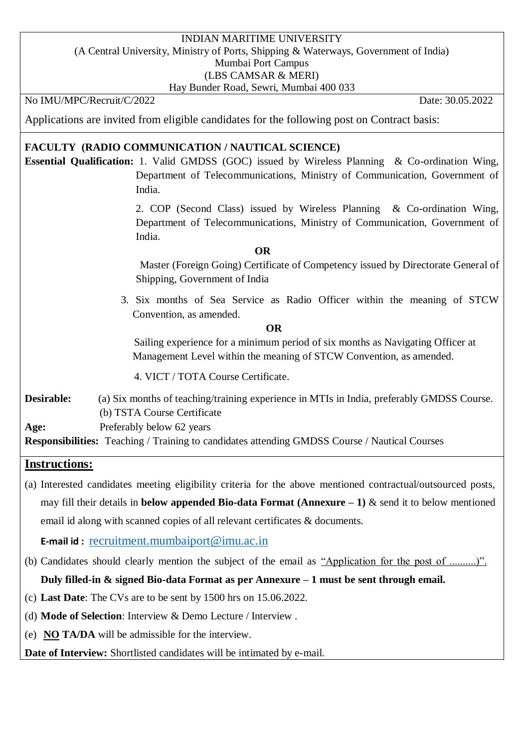### INDIAN MARITIME UNIVERSITY (A Central University, Ministry of Ports, Shipping & Waterways, Government of India) Mumbai Port Campus (LBS CAMSAR & MERI)

Hay Bunder Road, Sewri, Mumbai 400 033

### No IMU/MPC/Recruit/C/2022 Date: 30.05.2022

Applications are invited from eligible candidates for the following post on Contract basis:

### **FACULTY (RADIO COMMUNICATION / NAUTICAL SCIENCE)**

**Essential Qualification:** 1. Valid GMDSS (GOC) issued by Wireless Planning & Co-ordination Wing, Department of Telecommunications, Ministry of Communication, Government of India.

> 2. COP (Second Class) issued by Wireless Planning & Co-ordination Wing, Department of Telecommunications, Ministry of Communication, Government of India.

#### *OR*

Master (Foreign Going) Certificate of Competency issued by Directorate General of Shipping, Government of India

3. Six months of Sea Service as Radio Officer within the meaning of STCW Convention, as amended.

 **OR**

 Sailing experience for a minimum period of six months as Navigating Officer at Management Level within the meaning of STCW Convention, as amended.

4. VICT / TOTA Course Certificate.

**Desirable:** (a) Six months of teaching/training experience in MTIs in India, preferably GMDSS Course. (b) TSTA Course Certificate

**Age:** Preferably below 62 years

**Responsibilities:** Teaching / Training to candidates attending GMDSS Course / Nautical Courses

### **Instructions:**

(a) Interested candidates meeting eligibility criteria for the above mentioned contractual/outsourced posts, may fill their details in **below appended Bio-data Format (Annexure – 1)** & send it to below mentioned email id along with scanned copies of all relevant certificates & documents.

**E-mail id :** [recruitment.mumbaiport@imu.ac.in](mailto:recruitment.mumbaiport@imu.ac.in)

(b) Candidates should clearly mention the subject of the email as "Application for the post of ..........)".

## **Duly filled-in & signed Bio-data Format as per Annexure – 1 must be sent through email.**

- (c) **Last Date**: The CVs are to be sent by 1500 hrs on 15.06.2022.
- (d) **Mode of Selection**: Interview & Demo Lecture / Interview .
- (e) **NO TA/DA** will be admissible for the interview.

**Date of Interview:** Shortlisted candidates will be intimated by e-mail.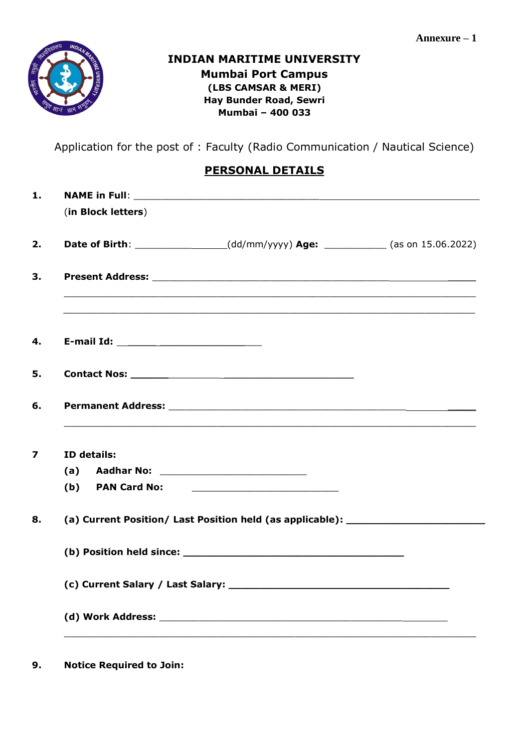

## **INDIAN MARITIME UNIVERSITY Mumbai Port Campus (LBS CAMSAR & MERI) Hay Bunder Road, Sewri Mumbai – 400 033**

Application for the post of : Faculty (Radio Communication / Nautical Science)

# **PERSONAL DETAILS**

|     | (in Block letters)  |                                                                                   |  |
|-----|---------------------|-----------------------------------------------------------------------------------|--|
|     |                     | Date of Birth: _______________(dd/mm/yyyy) Age: __________(as on 15.06.2022)      |  |
|     |                     |                                                                                   |  |
|     |                     | ,我们也不能在这里的时候,我们也不能在这里的时候,我们也不能会在这里的时候,我们也不能会在这里的时候,我们也不能会在这里的时候,我们也不能会在这里的时候,我们也不 |  |
|     |                     |                                                                                   |  |
|     |                     |                                                                                   |  |
|     | ID details:         |                                                                                   |  |
|     |                     |                                                                                   |  |
| (b) | <b>PAN Card No:</b> |                                                                                   |  |
|     |                     | (a) Current Position/ Last Position held (as applicable): ______________________  |  |
|     |                     |                                                                                   |  |
|     |                     |                                                                                   |  |
|     |                     |                                                                                   |  |

**9. Notice Required to Join:**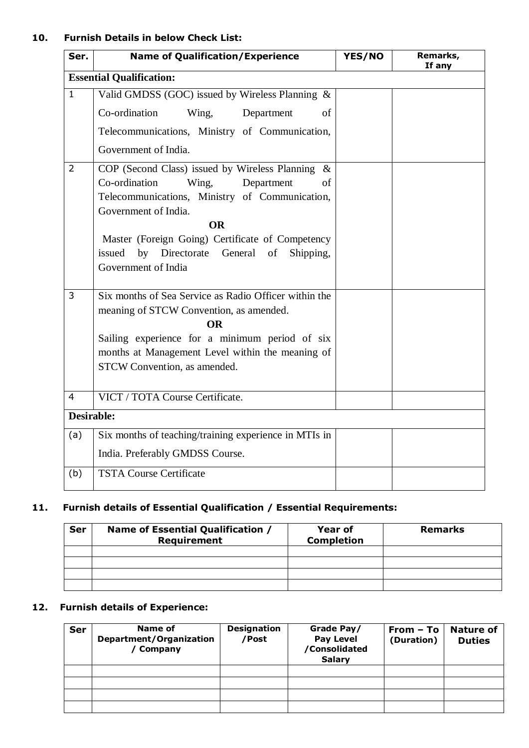### **10. Furnish Details in below Check List:**

| Ser.              | <b>Name of Qualification/Experience</b>                                                                                                                                                                                                                                                                              | YES/NO | Remarks,<br>If any |
|-------------------|----------------------------------------------------------------------------------------------------------------------------------------------------------------------------------------------------------------------------------------------------------------------------------------------------------------------|--------|--------------------|
|                   | <b>Essential Qualification:</b>                                                                                                                                                                                                                                                                                      |        |                    |
| $\mathbf{1}$      | Valid GMDSS (GOC) issued by Wireless Planning &                                                                                                                                                                                                                                                                      |        |                    |
|                   | Co-ordination<br>Wing,<br>Department<br>of                                                                                                                                                                                                                                                                           |        |                    |
|                   | Telecommunications, Ministry of Communication,                                                                                                                                                                                                                                                                       |        |                    |
|                   | Government of India.                                                                                                                                                                                                                                                                                                 |        |                    |
| $\overline{2}$    | COP (Second Class) issued by Wireless Planning $\&$<br>Co-ordination<br>Wing,<br>Department<br>of<br>Telecommunications, Ministry of Communication,<br>Government of India.<br><b>OR</b><br>Master (Foreign Going) Certificate of Competency<br>issued by Directorate General of<br>Shipping,<br>Government of India |        |                    |
| 3                 | Six months of Sea Service as Radio Officer within the<br>meaning of STCW Convention, as amended.<br><b>OR</b><br>Sailing experience for a minimum period of six<br>months at Management Level within the meaning of<br>STCW Convention, as amended.                                                                  |        |                    |
| $\overline{4}$    | VICT / TOTA Course Certificate.                                                                                                                                                                                                                                                                                      |        |                    |
| <b>Desirable:</b> |                                                                                                                                                                                                                                                                                                                      |        |                    |
| (a)               | Six months of teaching/training experience in MTIs in<br>India. Preferably GMDSS Course.                                                                                                                                                                                                                             |        |                    |
| (b)               | <b>TSTA Course Certificate</b>                                                                                                                                                                                                                                                                                       |        |                    |

## **11. Furnish details of Essential Qualification / Essential Requirements:**

| <b>Ser</b> | Name of Essential Qualification /<br>Requirement | <b>Year of</b><br><b>Completion</b> | <b>Remarks</b> |
|------------|--------------------------------------------------|-------------------------------------|----------------|
|            |                                                  |                                     |                |
|            |                                                  |                                     |                |
|            |                                                  |                                     |                |
|            |                                                  |                                     |                |

## **12. Furnish details of Experience:**

| Ser | Name of<br>Department/Organization<br>Company | <b>Designation</b><br>/Post | Grade Pay/<br><b>Pay Level</b><br>/Consolidated<br><b>Salary</b> | $From - To$<br>(Duration) | <b>Nature of</b><br><b>Duties</b> |
|-----|-----------------------------------------------|-----------------------------|------------------------------------------------------------------|---------------------------|-----------------------------------|
|     |                                               |                             |                                                                  |                           |                                   |
|     |                                               |                             |                                                                  |                           |                                   |
|     |                                               |                             |                                                                  |                           |                                   |
|     |                                               |                             |                                                                  |                           |                                   |